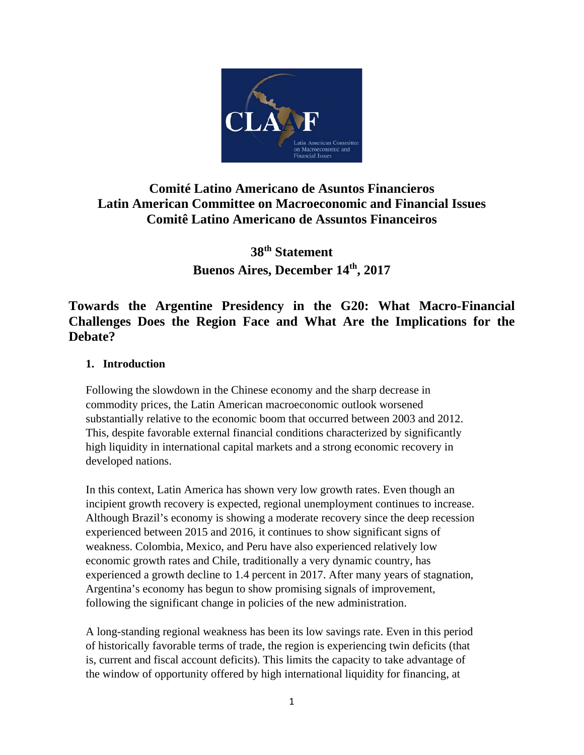

# **Comité Latino Americano de Asuntos Financieros Latin American Committee on Macroeconomic and Financial Issues Comitê Latino Americano de Assuntos Financeiros**

**38th Statement Buenos Aires, December 14th, 2017**

# **Towards the Argentine Presidency in the G20: What Macro-Financial Challenges Does the Region Face and What Are the Implications for the Debate?**

## **1. Introduction**

Following the slowdown in the Chinese economy and the sharp decrease in commodity prices, the Latin American macroeconomic outlook worsened substantially relative to the economic boom that occurred between 2003 and 2012. This, despite favorable external financial conditions characterized by significantly high liquidity in international capital markets and a strong economic recovery in developed nations.

In this context, Latin America has shown very low growth rates. Even though an incipient growth recovery is expected, regional unemployment continues to increase. Although Brazil's economy is showing a moderate recovery since the deep recession experienced between 2015 and 2016, it continues to show significant signs of weakness. Colombia, Mexico, and Peru have also experienced relatively low economic growth rates and Chile, traditionally a very dynamic country, has experienced a growth decline to 1.4 percent in 2017. After many years of stagnation, Argentina's economy has begun to show promising signals of improvement, following the significant change in policies of the new administration.

A long-standing regional weakness has been its low savings rate. Even in this period of historically favorable terms of trade, the region is experiencing twin deficits (that is, current and fiscal account deficits). This limits the capacity to take advantage of the window of opportunity offered by high international liquidity for financing, at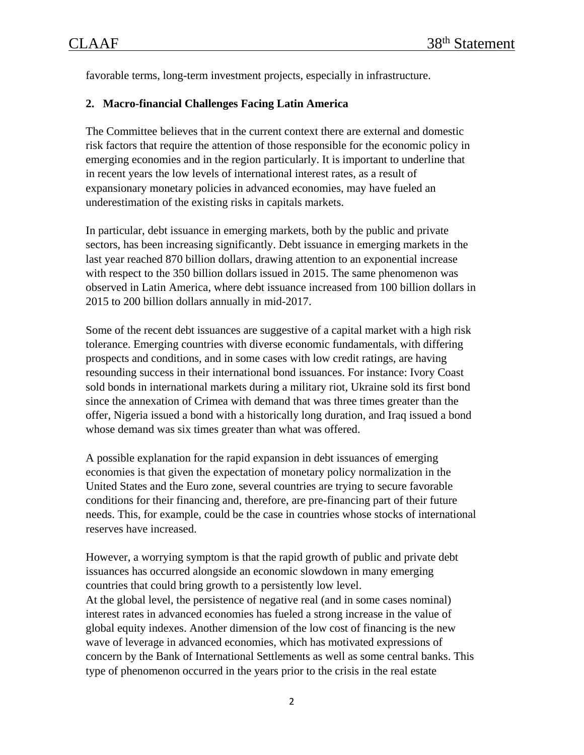favorable terms, long-term investment projects, especially in infrastructure.

### **2. Macro-financial Challenges Facing Latin America**

The Committee believes that in the current context there are external and domestic risk factors that require the attention of those responsible for the economic policy in emerging economies and in the region particularly. It is important to underline that in recent years the low levels of international interest rates, as a result of expansionary monetary policies in advanced economies, may have fueled an underestimation of the existing risks in capitals markets.

In particular, debt issuance in emerging markets, both by the public and private sectors, has been increasing significantly. Debt issuance in emerging markets in the last year reached 870 billion dollars, drawing attention to an exponential increase with respect to the 350 billion dollars issued in 2015. The same phenomenon was observed in Latin America, where debt issuance increased from 100 billion dollars in 2015 to 200 billion dollars annually in mid-2017.

Some of the recent debt issuances are suggestive of a capital market with a high risk tolerance. Emerging countries with diverse economic fundamentals, with differing prospects and conditions, and in some cases with low credit ratings, are having resounding success in their international bond issuances. For instance: Ivory Coast sold bonds in international markets during a military riot, Ukraine sold its first bond since the annexation of Crimea with demand that was three times greater than the offer, Nigeria issued a bond with a historically long duration, and Iraq issued a bond whose demand was six times greater than what was offered.

A possible explanation for the rapid expansion in debt issuances of emerging economies is that given the expectation of monetary policy normalization in the United States and the Euro zone, several countries are trying to secure favorable conditions for their financing and, therefore, are pre-financing part of their future needs. This, for example, could be the case in countries whose stocks of international reserves have increased.

However, a worrying symptom is that the rapid growth of public and private debt issuances has occurred alongside an economic slowdown in many emerging countries that could bring growth to a persistently low level. At the global level, the persistence of negative real (and in some cases nominal) interest rates in advanced economies has fueled a strong increase in the value of global equity indexes. Another dimension of the low cost of financing is the new wave of leverage in advanced economies, which has motivated expressions of concern by the Bank of International Settlements as well as some central banks. This type of phenomenon occurred in the years prior to the crisis in the real estate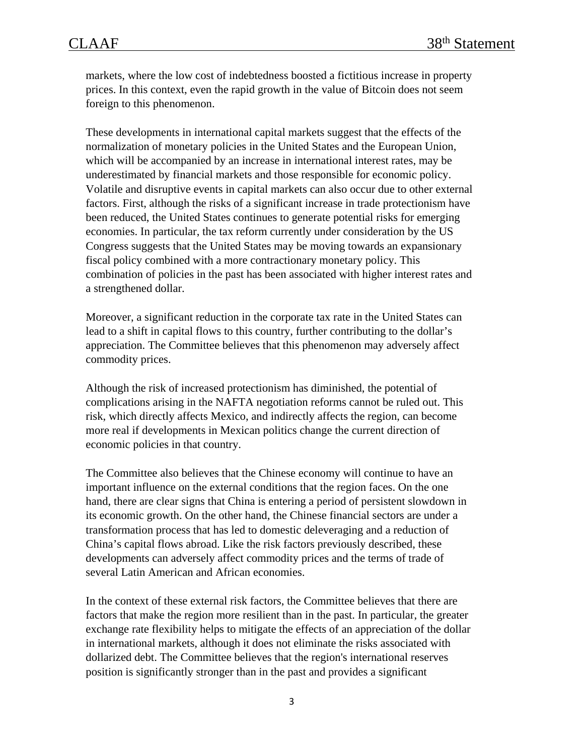markets, where the low cost of indebtedness boosted a fictitious increase in property prices. In this context, even the rapid growth in the value of Bitcoin does not seem foreign to this phenomenon.

These developments in international capital markets suggest that the effects of the normalization of monetary policies in the United States and the European Union, which will be accompanied by an increase in international interest rates, may be underestimated by financial markets and those responsible for economic policy. Volatile and disruptive events in capital markets can also occur due to other external factors. First, although the risks of a significant increase in trade protectionism have been reduced, the United States continues to generate potential risks for emerging economies. In particular, the tax reform currently under consideration by the US Congress suggests that the United States may be moving towards an expansionary fiscal policy combined with a more contractionary monetary policy. This combination of policies in the past has been associated with higher interest rates and a strengthened dollar.

Moreover, a significant reduction in the corporate tax rate in the United States can lead to a shift in capital flows to this country, further contributing to the dollar's appreciation. The Committee believes that this phenomenon may adversely affect commodity prices.

Although the risk of increased protectionism has diminished, the potential of complications arising in the NAFTA negotiation reforms cannot be ruled out. This risk, which directly affects Mexico, and indirectly affects the region, can become more real if developments in Mexican politics change the current direction of economic policies in that country.

The Committee also believes that the Chinese economy will continue to have an important influence on the external conditions that the region faces. On the one hand, there are clear signs that China is entering a period of persistent slowdown in its economic growth. On the other hand, the Chinese financial sectors are under a transformation process that has led to domestic deleveraging and a reduction of China's capital flows abroad. Like the risk factors previously described, these developments can adversely affect commodity prices and the terms of trade of several Latin American and African economies.

In the context of these external risk factors, the Committee believes that there are factors that make the region more resilient than in the past. In particular, the greater exchange rate flexibility helps to mitigate the effects of an appreciation of the dollar in international markets, although it does not eliminate the risks associated with dollarized debt. The Committee believes that the region's international reserves position is significantly stronger than in the past and provides a significant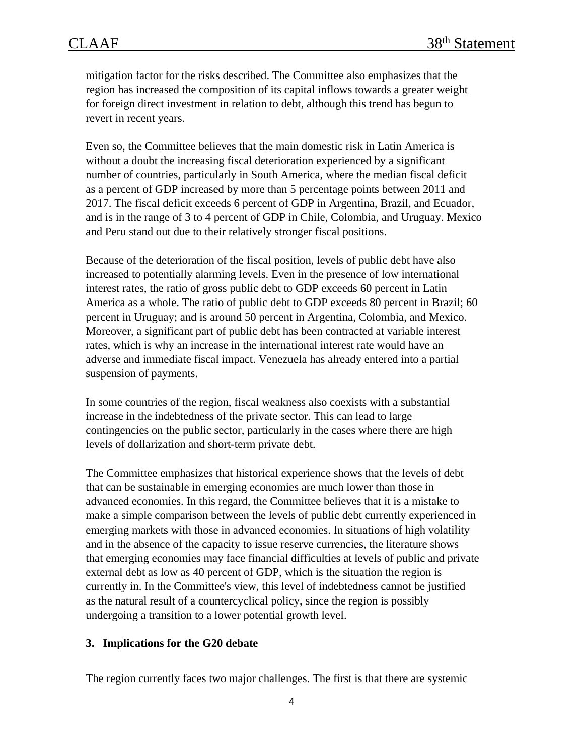mitigation factor for the risks described. The Committee also emphasizes that the region has increased the composition of its capital inflows towards a greater weight for foreign direct investment in relation to debt, although this trend has begun to revert in recent years.

Even so, the Committee believes that the main domestic risk in Latin America is without a doubt the increasing fiscal deterioration experienced by a significant number of countries, particularly in South America, where the median fiscal deficit as a percent of GDP increased by more than 5 percentage points between 2011 and 2017. The fiscal deficit exceeds 6 percent of GDP in Argentina, Brazil, and Ecuador, and is in the range of 3 to 4 percent of GDP in Chile, Colombia, and Uruguay. Mexico and Peru stand out due to their relatively stronger fiscal positions.

Because of the deterioration of the fiscal position, levels of public debt have also increased to potentially alarming levels. Even in the presence of low international interest rates, the ratio of gross public debt to GDP exceeds 60 percent in Latin America as a whole. The ratio of public debt to GDP exceeds 80 percent in Brazil; 60 percent in Uruguay; and is around 50 percent in Argentina, Colombia, and Mexico. Moreover, a significant part of public debt has been contracted at variable interest rates, which is why an increase in the international interest rate would have an adverse and immediate fiscal impact. Venezuela has already entered into a partial suspension of payments.

In some countries of the region, fiscal weakness also coexists with a substantial increase in the indebtedness of the private sector. This can lead to large contingencies on the public sector, particularly in the cases where there are high levels of dollarization and short-term private debt.

The Committee emphasizes that historical experience shows that the levels of debt that can be sustainable in emerging economies are much lower than those in advanced economies. In this regard, the Committee believes that it is a mistake to make a simple comparison between the levels of public debt currently experienced in emerging markets with those in advanced economies. In situations of high volatility and in the absence of the capacity to issue reserve currencies, the literature shows that emerging economies may face financial difficulties at levels of public and private external debt as low as 40 percent of GDP, which is the situation the region is currently in. In the Committee's view, this level of indebtedness cannot be justified as the natural result of a countercyclical policy, since the region is possibly undergoing a transition to a lower potential growth level.

#### **3. Implications for the G20 debate**

The region currently faces two major challenges. The first is that there are systemic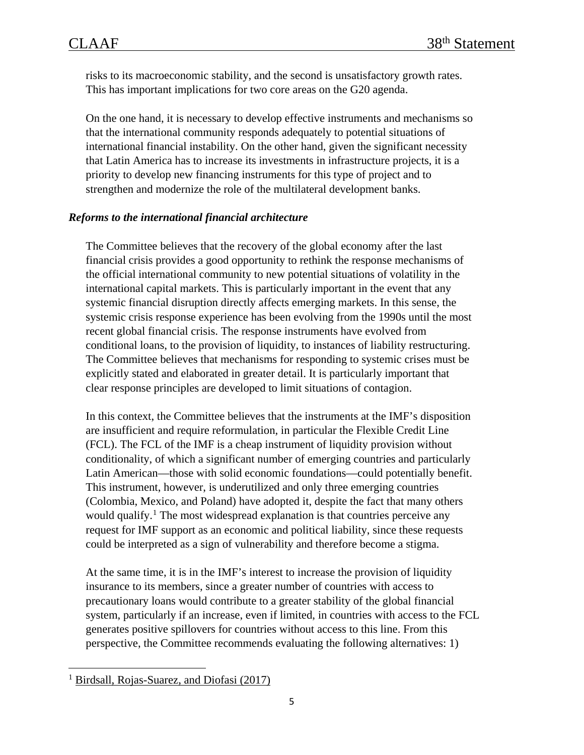risks to its macroeconomic stability, and the second is unsatisfactory growth rates. This has important implications for two core areas on the G20 agenda.

On the one hand, it is necessary to develop effective instruments and mechanisms so that the international community responds adequately to potential situations of international financial instability. On the other hand, given the significant necessity that Latin America has to increase its investments in infrastructure projects, it is a priority to develop new financing instruments for this type of project and to strengthen and modernize the role of the multilateral development banks.

### *Reforms to the international financial architecture*

The Committee believes that the recovery of the global economy after the last financial crisis provides a good opportunity to rethink the response mechanisms of the official international community to new potential situations of volatility in the international capital markets. This is particularly important in the event that any systemic financial disruption directly affects emerging markets. In this sense, the systemic crisis response experience has been evolving from the 1990s until the most recent global financial crisis. The response instruments have evolved from conditional loans, to the provision of liquidity, to instances of liability restructuring. The Committee believes that mechanisms for responding to systemic crises must be explicitly stated and elaborated in greater detail. It is particularly important that clear response principles are developed to limit situations of contagion.

In this context, the Committee believes that the instruments at the IMF's disposition are insufficient and require reformulation, in particular the Flexible Credit Line (FCL). The FCL of the IMF is a cheap instrument of liquidity provision without conditionality, of which a significant number of emerging countries and particularly Latin American—those with solid economic foundations—could potentially benefit. This instrument, however, is underutilized and only three emerging countries (Colombia, Mexico, and Poland) have adopted it, despite the fact that many others would qualify.<sup>[1](#page-4-0)</sup> The most widespread explanation is that countries perceive any request for IMF support as an economic and political liability, since these requests could be interpreted as a sign of vulnerability and therefore become a stigma.

At the same time, it is in the IMF's interest to increase the provision of liquidity insurance to its members, since a greater number of countries with access to precautionary loans would contribute to a greater stability of the global financial system, particularly if an increase, even if limited, in countries with access to the FCL generates positive spillovers for countries without access to this line. From this perspective, the Committee recommends evaluating the following alternatives: 1)

<span id="page-4-0"></span><sup>&</sup>lt;sup>1</sup> [Birdsall, Rojas-Suarez, and Diofasi \(2017\)](https://www.cgdev.org/publication/expanding-global-liquidity-insurance-myths-realities-IMF-credit-lines)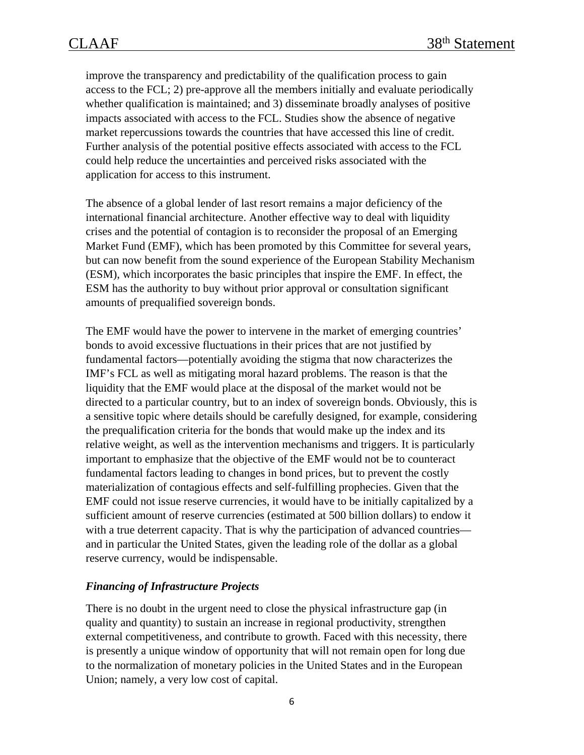improve the transparency and predictability of the qualification process to gain access to the FCL; 2) pre-approve all the members initially and evaluate periodically whether qualification is maintained; and 3) disseminate broadly analyses of positive impacts associated with access to the FCL. Studies show the absence of negative market repercussions towards the countries that have accessed this line of credit. Further analysis of the potential positive effects associated with access to the FCL could help reduce the uncertainties and perceived risks associated with the application for access to this instrument.

The absence of a global lender of last resort remains a major deficiency of the international financial architecture. Another effective way to deal with liquidity crises and the potential of contagion is to reconsider the proposal of an Emerging Market Fund (EMF), which has been promoted by this Committee for several years, but can now benefit from the sound experience of the European Stability Mechanism (ESM), which incorporates the basic principles that inspire the EMF. In effect, the ESM has the authority to buy without prior approval or consultation significant amounts of prequalified sovereign bonds.

The EMF would have the power to intervene in the market of emerging countries' bonds to avoid excessive fluctuations in their prices that are not justified by fundamental factors—potentially avoiding the stigma that now characterizes the IMF's FCL as well as mitigating moral hazard problems. The reason is that the liquidity that the EMF would place at the disposal of the market would not be directed to a particular country, but to an index of sovereign bonds. Obviously, this is a sensitive topic where details should be carefully designed, for example, considering the prequalification criteria for the bonds that would make up the index and its relative weight, as well as the intervention mechanisms and triggers. It is particularly important to emphasize that the objective of the EMF would not be to counteract fundamental factors leading to changes in bond prices, but to prevent the costly materialization of contagious effects and self-fulfilling prophecies. Given that the EMF could not issue reserve currencies, it would have to be initially capitalized by a sufficient amount of reserve currencies (estimated at 500 billion dollars) to endow it with a true deterrent capacity. That is why the participation of advanced countries and in particular the United States, given the leading role of the dollar as a global reserve currency, would be indispensable.

### *Financing of Infrastructure Projects*

There is no doubt in the urgent need to close the physical infrastructure gap (in quality and quantity) to sustain an increase in regional productivity, strengthen external competitiveness, and contribute to growth. Faced with this necessity, there is presently a unique window of opportunity that will not remain open for long due to the normalization of monetary policies in the United States and in the European Union; namely, a very low cost of capital.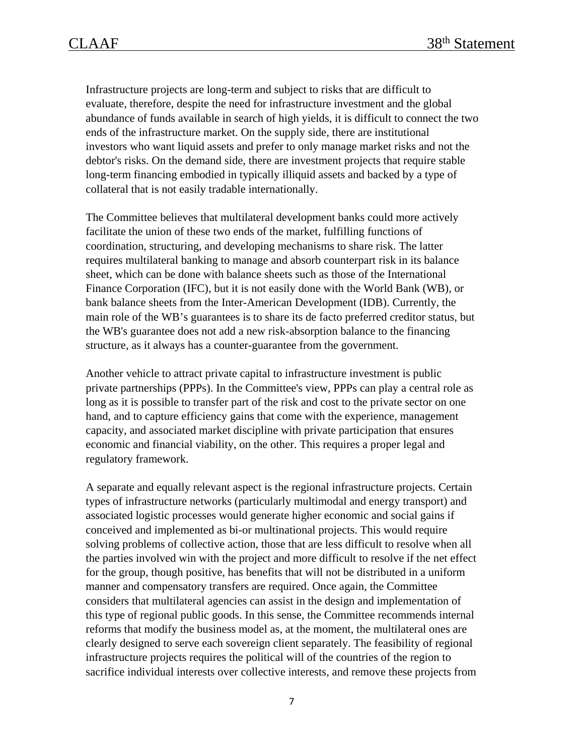Infrastructure projects are long-term and subject to risks that are difficult to evaluate, therefore, despite the need for infrastructure investment and the global abundance of funds available in search of high yields, it is difficult to connect the two ends of the infrastructure market. On the supply side, there are institutional investors who want liquid assets and prefer to only manage market risks and not the debtor's risks. On the demand side, there are investment projects that require stable long-term financing embodied in typically illiquid assets and backed by a type of collateral that is not easily tradable internationally.

The Committee believes that multilateral development banks could more actively facilitate the union of these two ends of the market, fulfilling functions of coordination, structuring, and developing mechanisms to share risk. The latter requires multilateral banking to manage and absorb counterpart risk in its balance sheet, which can be done with balance sheets such as those of the International Finance Corporation (IFC), but it is not easily done with the World Bank (WB), or bank balance sheets from the Inter-American Development (IDB). Currently, the main role of the WB's guarantees is to share its de facto preferred creditor status, but the WB's guarantee does not add a new risk-absorption balance to the financing structure, as it always has a counter-guarantee from the government.

Another vehicle to attract private capital to infrastructure investment is public private partnerships (PPPs). In the Committee's view, PPPs can play a central role as long as it is possible to transfer part of the risk and cost to the private sector on one hand, and to capture efficiency gains that come with the experience, management capacity, and associated market discipline with private participation that ensures economic and financial viability, on the other. This requires a proper legal and regulatory framework.

A separate and equally relevant aspect is the regional infrastructure projects. Certain types of infrastructure networks (particularly multimodal and energy transport) and associated logistic processes would generate higher economic and social gains if conceived and implemented as bi-or multinational projects. This would require solving problems of collective action, those that are less difficult to resolve when all the parties involved win with the project and more difficult to resolve if the net effect for the group, though positive, has benefits that will not be distributed in a uniform manner and compensatory transfers are required. Once again, the Committee considers that multilateral agencies can assist in the design and implementation of this type of regional public goods. In this sense, the Committee recommends internal reforms that modify the business model as, at the moment, the multilateral ones are clearly designed to serve each sovereign client separately. The feasibility of regional infrastructure projects requires the political will of the countries of the region to sacrifice individual interests over collective interests, and remove these projects from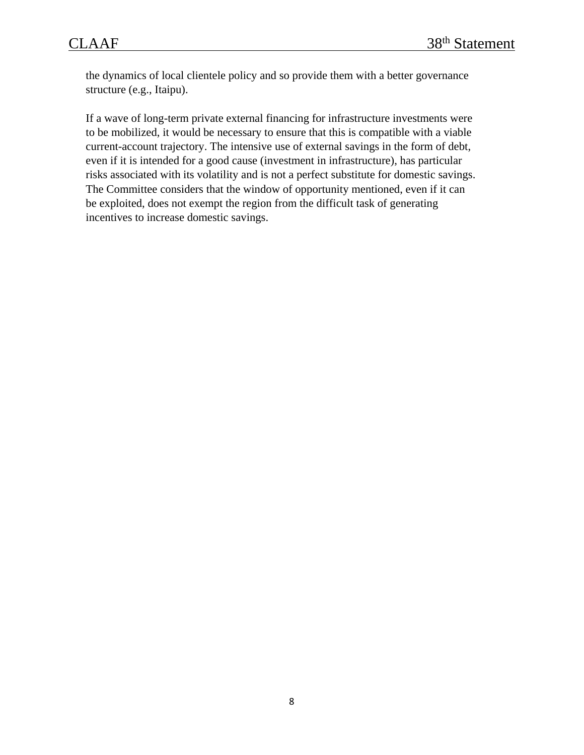the dynamics of local clientele policy and so provide them with a better governance structure (e.g., Itaipu).

If a wave of long-term private external financing for infrastructure investments were to be mobilized, it would be necessary to ensure that this is compatible with a viable current-account trajectory. The intensive use of external savings in the form of debt, even if it is intended for a good cause (investment in infrastructure), has particular risks associated with its volatility and is not a perfect substitute for domestic savings. The Committee considers that the window of opportunity mentioned, even if it can be exploited, does not exempt the region from the difficult task of generating incentives to increase domestic savings.